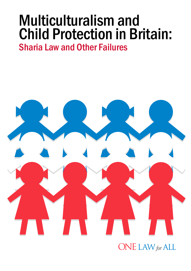# Multiculturalism and Child Protection in Britain: Sharia Law and Other Failures



**ONE LAW** for ALL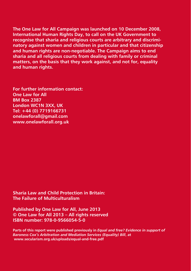**The One Law for All Campaign was launched on 10 December 2008, International Human Rights Day, to call on the UK Government to recognise that sharia and religious courts are arbitrary and discriminatory against women and children in particular and that citizenship and human rights are non-negotiable. The Campaign aims to end sharia and all religious courts from dealing with family or criminal matters, on the basis that they work against, and not for, equality and human rights.**

**For further information contact: One Law for All BM Box 2387 London WC1N 3XX, UK Tel: +44 (0) 7719166731 onelawforall@gmail.com www.onelawforall.org.uk**

**Sharia Law and Child Protection in Britain: The Failure of Multiculturalism** 

**Published by One Law for All, June 2013 © One Law for All 2013 – All rights reserved ISBN number: 978-0-9566054-5-0**

**Parts of this report were published previously in** *Equal and free? Evidence in support of Baroness Cox's Arbitration and Mediation Services (Equality) Bill***, at www.secularism.org.uk/uploads/equal-and-free.pdf**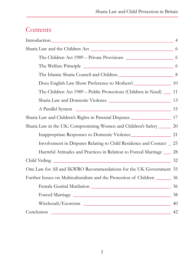# **Contents**

|                                                                                                                                                                                                                                | $\overline{4}$ |
|--------------------------------------------------------------------------------------------------------------------------------------------------------------------------------------------------------------------------------|----------------|
|                                                                                                                                                                                                                                |                |
|                                                                                                                                                                                                                                |                |
|                                                                                                                                                                                                                                |                |
|                                                                                                                                                                                                                                |                |
|                                                                                                                                                                                                                                |                |
| The Children Act 1989 – Public Protections (Children in Need) 11                                                                                                                                                               |                |
|                                                                                                                                                                                                                                |                |
|                                                                                                                                                                                                                                |                |
| Sharia Law and Children's Rights in Parental Disputes __________________________ 17                                                                                                                                            |                |
| Sharia Law in the UK: Compromising Women and Children's Safety _______ 20                                                                                                                                                      |                |
|                                                                                                                                                                                                                                |                |
| Involvement in Disputes Relating to Child Residence and Contact _ 25                                                                                                                                                           |                |
| Harmful Attitudes and Practices in Relation to Forced Marriage __ 28                                                                                                                                                           |                |
|                                                                                                                                                                                                                                |                |
| One Law for All and IKWRO Recommendations for the UK Government 35                                                                                                                                                             |                |
| Further Issues on Multiculturalism and the Protection of Children 2005 36                                                                                                                                                      |                |
|                                                                                                                                                                                                                                |                |
|                                                                                                                                                                                                                                |                |
| Witchcraft/Exorcism Later and Contract Contract Contract Contract Contract Contract Contract Contract Contract Contract Contract Contract Contract Contract Contract Contract Contract Contract Contract Contract Contract Con | 40             |
|                                                                                                                                                                                                                                |                |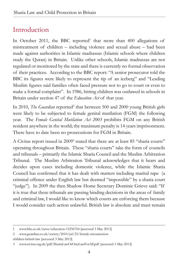# Introduction

In October 2011, the BBC reported<sup>1</sup> that more than 400 allegations of mistreatment of children – including violence and sexual abuse – had been made against authorities in Islamic madrassas (Islamic schools where children study the Quran) in Britain. Unlike other schools, Islamic madrassas are not regulated or monitored by the state and there is currently no formal observation of their practices. According to the BBC report: "A senior prosecutor told the BBC its figures were likely to represent the tip of an iceberg" and "Leading Muslim figures said families often faced pressure not to go to court or even to make a formal complaint". In 1986, hitting children was outlawed in schools in Britain under section 47 of the *Education Act* of that year.

In 2010, *The Guardian* reported<sup>2</sup> that between 500 and 2000 young British girls were likely to be subjected to female genital mutilation (FGM) the following year. The *Female Genital Mutilation Act 2003* prohibits FGM on any British resident anywhere in the world; the maximum penalty is 14 years imprisonment. There have to date been no prosecutions for FGM in Britain.

A Civitas report issued in 2009<sup>3</sup> stated that there are at least 85 "sharia courts" operating throughout Britain. These "sharia courts" take the form of councils and tribunals – primarily the Islamic Sharia Council and the Muslim Arbitration Tribunal. The Muslim Arbitration Tribunal acknowledges that it hears and decides upon cases including domestic violence, while the Islamic Sharia Council has confirmed that it has dealt with matters including marital rape (a criminal offence under English law but deemed "impossible" by a sharia court "judge"). In 2009 the then Shadow Home Secretary Dominic Grieve said: "If it is true that these tribunals are passing binding decisions in the areas of family and criminal law, I would like to know which courts are enforcing them because I would consider such action unlawful. British law is absolute and must remain

children-british-law [accessed 3 May 2013]

<sup>1</sup> www.bbc.co.uk/news/education-15256764 [accessed 3 May 2013]

<sup>2</sup> www.guardian.co.uk/society/2010/jul/25/female-circumcision-

<sup>3</sup> www.civitas.org.uk/pdf/ShariaLawOrOneLawForAll.pdf [accessed 3 May 2013]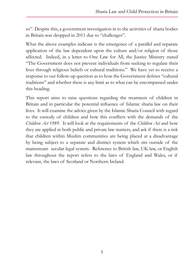so". Despite this, a government investigation in to the activities of sharia bodies in Britain was dropped in 2011 due to "challenges".

What the above examples indicate is the emergence of a parallel and separate application of the law dependent upon the culture and/or religion of those affected. Indeed, in a letter to One Law for All, the Justice Ministry stated "The Government does not prevent individuals from seeking to regulate their lives through religious beliefs or cultural traditions." We have yet to receive a response to our follow-up question as to how the Government defines "cultural traditions" and whether there is any limit as to what can be encompassed under this heading.

This report aims to raise questions regarding the treatment of children in Britain and in particular the potential influence of Islamic sharia law on their lives. It will examine the advice given by the Islamic Sharia Council with regard to the custody of children and how this conflicts with the demands of the *Children Act 1989*. It will look at the requirements of the *Children Act* and how they are applied in both public and private law matters, and ask if there is a risk that children within Muslim communities are being placed at a disadvantage by being subject to a separate and distinct system which sits outside of the mainstream secular legal system. Reference to British law, UK law, or English law throughout the report refers to the laws of England and Wales, or if relevant, the laws of Scotland or Northern Ireland.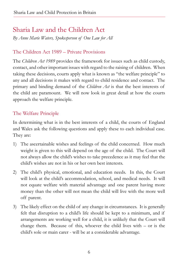## Sharia Law and the Children Act

*By Anne Marie Waters, Spokesperson of One Law for All*

#### The Children Act 1989 – Private Provisions

The *Children Act 1989* provides the framework for issues such as child custody, contact, and other important issues with regard to the raising of children. When taking these decisions, courts apply what is known as "the welfare principle" to any and all decisions it makes with regard to child residence and contact. The primary and binding demand of the *Children Act* is that the best interests of the child are paramount. We will now look in great detail at how the courts approach the welfare principle.

#### The Welfare Principle

In determining what is in the best interests of a child, the courts of England and Wales ask the following questions and apply these to each individual case. They are:

- 1) The ascertainable wishes and feelings of the child concerned. How much weight is given to this will depend on the age of the child. The Court will not always allow the child's wishes to take precedence as it may feel that the child's wishes are not in his or her own best interests.
- 2) The child's physical, emotional, and education needs. In this, the Court will look at the child's accommodation, school, and medical needs. It will not equate welfare with material advantage and one parent having more money than the other will not mean the child will live with the more well off parent.
- 3) The likely effect on the child of any change in circumstances. It is generally felt that disruption to a child's life should be kept to a minimum, and if arrangements are working well for a child, it is unlikely that the Court will change them. Because of this, whoever the child lives with – or is the child's sole or main carer - will be at a considerable advantage.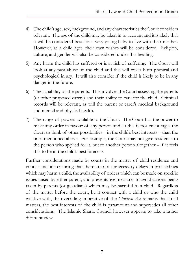- 4) The child's age, sex, background, and any characteristics the Court considers relevant. The age of the child may be taken in to account and it is likely that it will be considered best for a very young baby to live with their mother. However, as a child ages, their own wishes will be considered. Religion, culture, and gender will also be considered under this heading.
- 5) Any harm the child has suffered or is at risk of suffering. The Court will look at any past abuse of the child and this will cover both physical and psychological injury. It will also consider if the child is likely to be in any danger in the future.
- 6) The capability of the parents. This involves the Court assessing the parents (or other proposed carers) and their ability to care for the child. Criminal records will be relevant, as will the parent or carer's medical background and mental and physical health.
- 7) The range of powers available to the Court. The Court has the power to make any order in favour of any person and so this factor encourages the Court to think of other possibilities – in the child's best interests – than the ones mentioned above. For example, the Court may not give residence to the person who applied for it, but to another person altogether – if it feels this to be in the child's best interests.

Further considerations made by courts in the matter of child residence and contact include ensuring that there are not unnecessary delays in proceedings which may harm a child, the availability of orders which can be made on specific issues raised by either parent, and preventative measures to avoid actions being taken by parents (or guardians) which may be harmful to a child. Regardless of the matter before the court, be it contact with a child or who the child will live with, the overriding imperative of the *Children Act* remains that in all matters, the best interests of the child is paramount and supersedes all other considerations. The Islamic Sharia Council however appears to take a rather different view.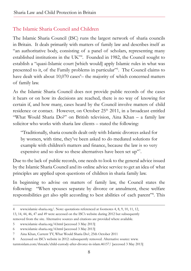#### The Islamic Sharia Council and Children

The Islamic Sharia Council (ISC) runs the largest network of sharia councils in Britain. It deals primarily with matters of family law and describes itself as "an authoritative body, consisting of a panel of scholars, representing many established institutions in the UK"<sup>4</sup> . Founded in 1982, the Council sought to establish a "quasi-Islamic court [which would] apply Islamic rules in what was presented to it, of the Family problems in particular"<sup>5</sup> . The Council claims to have dealt with about 10,070 cases<sup>6</sup> the majority of which concerned matters of family law.

As the Islamic Sharia Council does not provide public records of the cases it hears or on how its decisions are reached, there is no way of knowing for certain if, and how many, cases heard by the Council involve matters of child residence or contact. However, on October  $25<sup>th</sup>$  2011, in a broadcast entitled "What Would Sharia Do?" on British television, Aina Khan – a family law solicitor who works with sharia law clients – stated the following:

"Traditionally, sharia councils dealt only with Islamic divorces asked for by women, with time, they've been asked to do mediated solutions for example with children's matters and finance, because the law is so very expensive and so slow so these alternatives have been set up"7.

Due to the lack of public records, one needs to look to the general advice issued by the Islamic Sharia Council and its online advice service to get an idea of what principles are applied upon questions of children in sharia family law.

In beginning to advise on matters of family law, the Council states the following: "When spouses separate by divorce or annulment, these welfare responsibilities get also split according to best abilities of each parent"<sup>8</sup>. This

<sup>4</sup> www.islamic-sharia.org/. Note: quotations referenced at footnotes 4, 8, 9, 10, 11, 12,

<sup>13, 14, 44, 46, 47</sup> and 49 were accessed on the ISC's website during 2012 but subsequently removed from the site. Alternative sources and citations are provided where available.

<sup>5</sup> www.islamic-sharia.org/4.html [accessed 3 May 2013]

<sup>6</sup> www.islamic-sharia.org/4.html [accessed 3 May 2013]

<sup>7</sup> Aina Khan, Current TV, What Would Sharia Do?, 25th October 2011

<sup>8</sup> Accessed on ISC's website in 2012: subsequently removed. Alternative source: www. turntoislam.com/threads/child-custody-after-divorce-in-islam.46157/ [accessed 3 May 2013]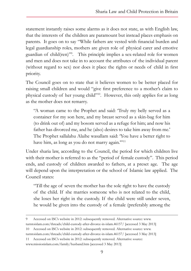statement instantly raises some alarms as it does not state, as with English law, that the interests of the children are paramount but instead places emphasis on parents. It goes on to say "While fathers are vested with financial burden and legal guardianship roles, mothers are given role of physical carer and emotive guardian of child(ren)"<sup>9</sup> . This principle implies a sex-related role for women and men and does not take in to account the attributes of the individual parent (without regard to sex) nor does it place the rights or needs of child in first priority.

The Council goes on to state that it believes women to be better placed for raising small children and would "give first preference to a mother's claim to physical custody of her young child"10. However, this only applies for as long as the mother does not remarry.

"A woman came to the Prophet and said: 'Truly my belly served as a container for my son here, and my breast served as a skin-bag for him (to drink out of) and my bosom served as a refuge for him; and now his father has divorced me, and he (also) desires to take him away from me.' The Prophet sallalahu Alaihe wasallam said: 'You have a better right to have him, as long as you do not marry again."<sup>11</sup>

Under sharia law, according to the Council, the period for which children live with their mother is referred to as the "period of female custody". This period ends, and custody of children awarded to fathers, at a preset age. The age will depend upon the interpretation or the school of Islamic law applied. The Council states:

"Till the age of seven the mother has the sole right to have the custody of the child. If she marries someone who is not related to the child, she loses her right in the custody. If the child were still under seven, he would be given into the custody of a female (preferably among the

<sup>9</sup> Accessed on ISC's website in 2012: subsequently removed. Alternative source: www. turntoislam.com/threads/child-custody-after-divorce-in-islam.46157/ [accessed 3 May 2013]

<sup>10</sup> Accessed on ISC's website in 2012: subsequently removed. Alternative source: www.

turntoislam.com/threads/child-custody-after-divorce-in-islam.46157/ [accessed 3 May 2013]

Accessed on ISC's website in 2012: subsequently removed. Alternative source: www.missionislam.com/family/husband.htm [accessed 3 May 2013]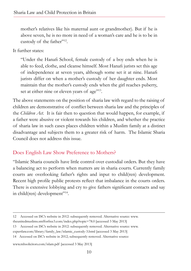mother's relatives like his maternal aunt or grandmother). But if he is above seven, he is no more in need of a woman's care and he is to be in custody of the father"<sup>12</sup>.

It further states:

"Under the Hanafi School, female custody of a boy ends when he is able to feed, clothe, and cleanse himself. Most Hanafi jurists set this age of independence at seven years, although some set it at nine. Hanafi jurists differ on when a mother's custody of her daughter ends. Most maintain that the mother's custody ends when the girl reaches puberty, set at either nine or eleven years of age"<sup>13</sup>.

The above statements on the position of sharia law with regard to the raising of children are demonstrative of conflict between sharia law and the principles of the *Children Act*. It is fair then to question that would happen, for example, if a father were abusive or violent towards his children, and whether the practice of sharia law in such cases places children within a Muslim family at a distinct disadvantage and subjects them to a greater risk of harm. The Islamic Sharia Council does not address this issue.

#### Does English Law Show Preference to Mothers?

"Islamic Sharia councils have little control over custodial orders. But they have a balancing act to perform when matters are in sharia courts. Currently family courts are overlooking father's rights and input to child(ren) development. Recent high profile public protests reflect that imbalance in the courts orders. There is extensive lobbying and cry to give fathers significant contacts and say in child(ren) development"<sup>14</sup>.

www.mhsolicitors.com/islam.pdf [accessed 3 May 2013]

<sup>12</sup> Accessed on ISC's website in 2012: subsequently removed. Alternative source: www. theunitedmuslims.smfforfree3.com/index.php?topic=78.0 [accessed 3 May 2013]

<sup>13</sup> Accessed on ISC's website in 2012: subsequently removed. Alternative source: www.

expertlaw.com/library/family\_law/islamic\_custody-3.html [accessed 3 May 2013]

<sup>14</sup> Accessed on ISC's website in 2012; subsequently removed. Alternative source: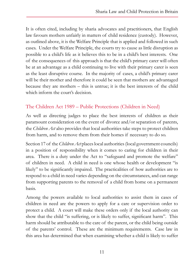It is often cited, including by sharia advocates and practitioners, that English law favours mothers unfairly in matters of child residence (custody). However, as outlined above, it is the Welfare Principle that is applied and followed in such cases. Under the Welfare Principle, the courts try to cause as little disruption as possible to a child's life as it believes this to be in a child's best interests. One of the consequences of this approach is that the child's primary carer will often be at an advantage as a child continuing to live with their primary carer is seen as the least disruptive course. In the majority of cases, a child's primary carer will be their mother and therefore it could be seen that mothers are advantaged because they are mothers – this is untrue; it is the best interests of the child which inform the court's decision

#### The Children Act 1989 – Public Protections (Children in Need)

As well as directing judges to place the best interests of children as their paramount consideration on the event of divorce and/or separation of parents, the *Children Act* also provides that local authorities take steps to protect children from harm, and to remove them from their homes if necessary to do so.

Section 17 of the *Children Act* places local authorities (local government councils) in a position of responsibility when it comes to caring for children in their area. There is a duty under the Act to "safeguard and promote the welfare" of children in need. A child in need is one whose health or development "is likely" to be significantly impaired. The practicalities of how authorities are to respond to a child in need varies depending on the circumstances, and can range from supporting parents to the removal of a child from home on a permanent basis.

Among the powers available to local authorities to assist them in cases of children in need are the powers to apply for a care or supervision order to protect a child. A court will make these orders only if the local authority can show that the child "is suffering, or is likely to suffer, significant harm". This harm should be attributable to the care of the parent, or the child being outside of the parents' control. These are the minimum requirements. Case law in this area has determined that when examining whether a child is likely to suffer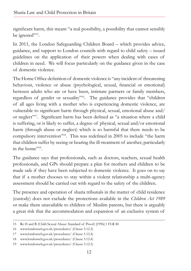significant harm, this meant "a real possibility, a possibility that cannot sensibly be ignored"<sup>15</sup>.

In 2011, the London Safeguarding Children Board – which provides advice, guidance, and support to London councils with regard to child safety – issued guidelines on the application of their powers when dealing with cases of children in need. We will focus particularly on the guidance given in the case of domestic violence.

The Home Office definition of domestic violence is "any incident of threatening behaviour, violence or abuse (psychological, sexual, financial or emotional) between adults who are or have been, intimate partners or family members, regardless of gender or sexuality"16. The guidance provides that "children of all ages living with a mother who is experiencing domestic violence, are vulnerable to significant harm through physical, sexual, emotional abuse and/ or neglect"<sup>17</sup>. Significant harm has been defined as "a situation where a child is suffering, or is likely to suffer, a degree of physical, sexual and/or emotional harm (through abuse or neglect) which is so harmful that there needs to be compulsory intervention"<sup>18</sup>. This was redefined in 2005 to include "the harm that children suffer by seeing or hearing the ill-treatment of another, particularly in the home"<sup>19</sup>.

The guidance says that professionals, such as doctors, teachers, sexual health professionals, and GPs should prepare a plan for mothers and children to be made safe if they have been subjected to domestic violence. It goes on to say that if a mother chooses to stay within a violent relationship a multi-agency assessment should be carried out with regard to the safety of the children.

The presence and operation of sharia tribunals in the matter of child residence (custody) does not exclude the protections available in the *Children Act 1989* or make them unavailable to children of Muslim parents, but there is arguably a great risk that the accommodation and expansion of an exclusive system of

<sup>15</sup> Re H and R (Child Sexual Abuse: Standard of Proof) [1996] 1 FLR 80

<sup>16</sup> www.londonscb.gov.uk/procedures/ (Clause 5.12.2)

<sup>17</sup> www.londonscb.gov.uk/procedures/ (Clause 5.12.4)

<sup>18</sup> www.londonscb.gov.uk/procedures/ (Clause 5.12.4)

<sup>19</sup> www.londonscb.gov.uk/procedures/ (Clause 5.12.5)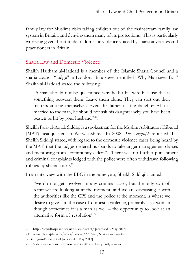family law for Muslims risks taking children out of the mainstream family law system in Britain, and denying them many of its protections. This is particularly worrying given the attitude to domestic violence voiced by sharia advocates and practitioners in Britain.

#### Sharia Law and Domestic Violence

Shaikh Haitham al-Haddad is a member of the Islamic Sharia Council and a sharia council "judge" in London. In a speech entitled "Why Marriages Fail" Shaikh al-Haddad stated the following:

"A man should not be questioned why he hit his wife because this is something between them. Leave them alone. They can sort out their matters among themselves. Even the father of the daughter who is married to the man, he should not ask his daughter why you have been beaten or hit by your husband"20.

Sheikh Faiz-ul-Aqtab Siddiqi is a spokesman for the Muslim Arbitration Tribunal (MAT) headquarters in Warwickshire. In 2008, *The Telegraph* reported that Sheikh Siddiqi stated, with regard to the domestic violence cases being heard by the MAT, that the judges ordered husbands to take anger management classes and mentoring from "community elders". There was no further punishment and criminal complaints lodged with the police were often withdrawn following rulings by sharia courts $^{21}$ .

In an interview with the BBC in the same year, Sheikh Siddiqi claimed:

"we do not get involved in any criminal cases, but the only sort of remit we are looking at at the moment, and we are discussing it with the authorities like the CPS and the police at the moment, is where we desire to give – in the case of domestic violence, primarily it's a woman though sometimes it is a man as well – the opportunity to look at an alternative form of resolution"22.

<sup>20</sup> http://standforpeace.org.uk/islamic-relief/ [accessed 3 May 2013]

<sup>21</sup> www.telegraph.co.uk/news/uknews/2957428/Sharia-law-courtsoperating-in-Britain.html [accessed 3 May 2013]

<sup>22</sup> Video was accessed on YouTube in 2012; subsequently removed.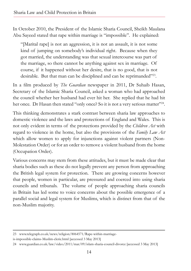In October 2010, the President of the Islamic Sharia Council, Sheikh Maulana Abu Sayeed stated that rape within marriage is "impossible". He explained:

"[Marital rape] is not an aggression, it is not an assault, it is not some kind of jumping on somebody's individual right. Because when they got married, the understanding was that sexual intercourse was part of the marriage, so there cannot be anything against sex in marriage. Of course, if it happened without her desire, that is no good, that is not desirable. But that man can be disciplined and can be reprimanded"<sup>223</sup>.

In a film produced by *The Guardian* newspaper in 2011, Dr Suhaib Hasan, Secretary of the Islamic Sharia Council, asked a woman who had approached the council whether her husband had ever hit her. She replied that he had hit her once. Dr Hasan then stated "only once? So it is not a very serious matter"<sup>224</sup>.

This thinking demonstrates a stark contrast between sharia law approaches to domestic violence and the laws and protections of England and Wales. This is not only evident in terms of the protections provided by the *Children Act* with regard to violence in the home, but also the provisions of the *Family Law Act* which allow women to apply for injunctions against violent partners (Non-Molestation Order) or for an order to remove a violent husband from the home (Occupation Order).

Various concerns may stem from these attitudes, but it must be made clear that sharia bodies such as these do not legally prevent any person from approaching the British legal system for protection. There are growing concerns however that people, women in particular, are pressured and coerced into using sharia councils and tribunals. The volume of people approaching sharia councils in Britain has led some to voice concerns about the possible emergence of a parallel social and legal system for Muslims, which is distinct from that of the non-Muslim majority.

is-impossible-claims-Muslim-cleric.html [accessed 3 May 2013]

<sup>23</sup> www.telegraph.co.uk/news/religion/8064571/Rape-within-marriage-

<sup>24</sup> www.guardian.co.uk/law/video/2011/mar/09/islam-sharia-council-divorce [accessed 3 May 2013]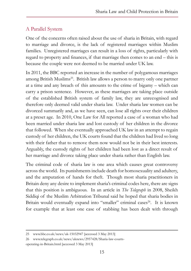#### A Parallel System

One of the concerns often raised about the use of sharia in Britain, with regard to marriage and divorce, is the lack of registered marriages within Muslim families. Unregistered marriages can result in a loss of rights, particularly with regard to property and finances, if that marriage then comes to an end – this is because the couple were not deemed to be married under UK law.

In 2011, the BBC reported an increase in the number of polygamous marriages among British Muslims<sup>25</sup>. British law allows a person to marry only one partner at a time and any breach of this amounts to the crime of bigamy – which can carry a prison sentence. However, as these marriages are taking place outside of the established British system of family law, they are unrecognised and therefore only deemed valid under sharia law. Under sharia law women can be divorced summarily and, as we have seen, can lose all rights over their children at a preset age. In 2010, One Law for All reported a case of a woman who had been married under sharia law and lost custody of her children in the divorce that followed. When she eventually approached UK law in an attempt to regain custody of her children, the UK courts found that the children had lived so long with their father that to remove them now would not be in their best interests. Arguably, the custody rights of her children had been lost as a direct result of her marriage and divorce taking place under sharia rather than English law.

The criminal code of sharia law is one area which causes great controversy across the world. Its punishments include death for homosexuality and adultery, and the amputation of hands for theft. Though most sharia practitioners in Britain deny any desire to implement sharia's criminal codes here, there are signs that this position is ambiguous. In an article in *The Telegraph* in 2008, Sheikh Siddiqi of the Muslim Arbitration Tribunal said he hoped that sharia bodies in Britain would eventually expand into "smaller" criminal cases<sup>26</sup>. It is known for example that at least one case of stabbing has been dealt with through

<sup>25</sup> www.bbc.co.uk/news/uk-15032947 [accessed 3 May 2013]

<sup>26</sup> www.telegraph.co.uk/news/uknews/2957428/Sharia-law-courtsoperating-in-Britain.html [accessed 3 May 2013]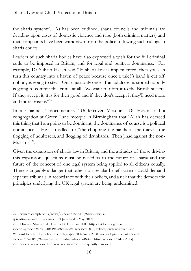the sharia system<sup>27</sup>. As has been outlined, sharia councils and tribunals are deciding upon cases of domestic violence and rape (both criminal matters) and that complaints have been withdrawn from the police following such rulings in sharia courts.

Leaders of such sharia bodies have also expressed a wish for the full criminal code to be imposed in Britain, and for legal and political dominance. For example, Dr Suhaib Hasan said "If sharia law is implemented, then you can turn this country into a haven of peace because once a thief 's hand is cut off nobody is going to steal. Once, just only once, if an adulterer is stoned nobody is going to commit this crime at all. We want to offer it to the British society. If they accept it, it is for their good and if they don't accept it they'll need more and more prisons"<sup>28</sup>

In a Channel 4 documentary "Undercover Mosque", Dr Hasan told a congregation at Green Lane mosque in Birmingham that "Allah has decreed this thing that I am going to be dominant, the dominance of course is a political dominance". He also called for "the chopping the hands of the thieves, the flogging of adulterers, and flogging of drunkards. Then jihad against the non-Muslims"<sup>29</sup>.

Given the expansion of sharia law in Britain, and the attitudes of those driving this expansion, questions must be raised as to the future of sharia and the future of the concept of one legal system being applied to all citizens equally. There is arguably a danger that other non-secular belief systems could demand separate tribunals in accordance with their beliefs, and a risk that the democratic principles underlying the UK legal system are being undermined.

<sup>27</sup> www.telegraph.co.uk/news/uknews/1535478/Sharia-law-is-

spreading-as-authority-wanes.html [accessed 3 May 2013]

<sup>28</sup> Divorce, Sharia Style, Channel 4, February 2008: http://video.google.ca/

videoplay?docid=7551240419498830429# [accessed 2012; subsequently removed] and

We want to offer Sharia law, The Telegraph, 20 January 2008: www.telegraph.co.uk/news/

uknews/1576066/We-want-to-offer-sharia-law-to-Britain.html [accessed 3 May 2013]

<sup>29</sup> Video was accessed on YouTube in 2012; subsequently removed.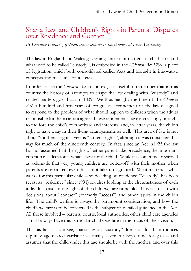#### Sharia Law and Children's Rights in Parental Disputes over Residence and Contact

*By Lorraine Harding, (retired) senior lecturer in social policy at Leeds University*

The law in England and Wales governing important matters of child care, and what used to be called "custody", is embodied in the *Children Act 1989*, a piece of legislation which both consolidated earlier Acts and brought in innovative concepts and measures of its own.

In order to see the *Children Act* in context, it is useful to remember that in this country the history of attempts to shape the law dealing with "custody" and related matters goes back to 1839. We thus had (by the time of the *Children Act*) a hundred and fifty years of progressive refinement of the law designed to respond to the problem of what should happen to children when the adults responsible for them cannot agree. These refinements have increasingly brought to the fore the child's own welfare and interests, and, in latter years, the child's right to have a say in their living arrangements as well. This area of law is not about "mothers" rights" versus "fathers' rights", although it was construed that way for much of the nineteenth century. In fact, since an Act in1925 the law has not assumed that the rights of either parent take precedence; the important criterion in a decision is what is best for the child. While it is sometimes regarded as axiomatic that very young children are better-off with their mother when parents are separated, even this is not taken for granted. What matters is what works for this particular child – so deciding on residence ("custody" has been recast as "residence" since 1991) requires looking at the circumstances of each individual case, in the light of the child welfare principle. This is so also with decisions about "contact" (formerly "access") and other issues in the child's life. The child's welfare is always the paramount consideration, and how the child's welfare is to be construed is the subject of detailed guidance in the Act. All those involved – parents, courts, local authorities, other child care agencies – must always have this particular child's welfare in the focus of their vision.

This, as far as I can see, sharia law on "custody" does not do. It introduces a purely age-related yardstick – usually seven for boys, nine for girls – and assumes that the child under this age should be with the mother, and over this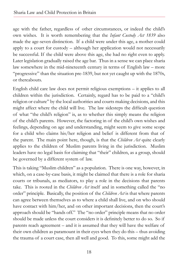age with the father, regardless of other circumstances, or indeed the child's own wishes. It is worth remembering that the *Infant Custody Act 1839* also made the age-seven distinction. If a child were under this age, a mother could apply to a court for custody – although her application would not necessarily be successful. If the child were above this age, she had no right even to apply. Later legislation gradually raised the age bar. Thus in a sense we can place sharia law somewhere in the mid-nineteenth century in terms of English law – more "progressive" than the situation pre-1839, but not yet caught up with the 1870s, or thereabouts.

English child care law does not permit religious exemptions – it applies to all children within the jurisdiction. Certainly, regard has to be paid to a "child's religion or culture" by the local authorities and courts making decisions, and this might affect where the child will live. The law sidesteps the difficult question of what "the child's religion" is, as to whether this simply means the religion of the child's parents. However, the factoring in of the child's own wishes and feelings, depending on age and understanding, might seem to give some scope for a child who claims his/her religion and belief is different from that of the parent. The main point here, though, is that the *Children Act* quite clearly applies to the children of Muslim parents living in the jurisdiction. Muslim leaders have no legal basis for claiming that "their" children, as a group, should be governed by a different system of law.

This is taking "Muslim children" as a population. There is one way, however, in which, on a case-by-case basis, it might be claimed that there is a role for sharia courts or tribunals, as mediators, to play a role in the decisions that parents take. This is rooted in the *Children Act* itself and in something called the "no order" principle. Basically, the position of the *Children Act* is that where parents can agree between themselves as to where a child shall live, and on who should have contact with him/her, and on other important decisions, then the court's approach should be "hands off." The "no order" principle means that no order should be made unless the court considers it is definitely better to do so. So if parents reach agreement – and it is assumed that they will have the welfare of their own children as paramount in their eyes when they do this – thus avoiding the trauma of a court case, then all well and good. To this, some might add the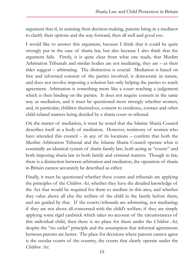argument that if, in assisting their decision-making, parents bring in a mediator to clarify their options and the way forward, then all well and good too.

I would like to answer this argument, because I think that it could be quite strongly put in the case of sharia law, but also because I also think that the argument fails. Firstly, it is quite clear from what one reads, that Muslim Arbitration Tribunals and similar bodies are not mediating, they are – as their titles suggest – arbitrating. The distinction is crucial. Mediation is based on free and informed consent of the parties involved, is democratic in nature, and does not involve imposing a solution but only helping the parties to reach agreement. Arbitration is something more like a court reaching a judgement which is then binding on the parties. It does not require consent in the same way as mediation, and it must be questioned most strongly whether women, and, in particular, children themselves, consent to residence, contact and other child-related matters being decided by a sharia court or tribunal.

On the matter of mediation, it must be noted that the Islamic Sharia Council describes itself as a body of mediation. However, testimony of women who have attended this council – in any of its locations – confirm that both the Muslim Arbitration Tribunal and the Islamic Sharia Council operate what is essentially an identical system of sharia family law; both acting as "courts" and both imposing sharia law in both family and criminal matters. Though in law, there is a distinction between arbitration and mediation, the operation of sharia in Britain cannot accurately be described as either.

Finally, it must be questioned whether these courts and tribunals are applying the principles of the *Children Act*, whether they have the detailed knowledge of the Act that would be required for them to mediate in this area, and whether they value above all else the welfare of the child in the family before them, and are guided by that. If the courts/tribunals are arbitrating, not mediating; if they are not above all concerned with the child's welfare; if they are simply applying some rigid yardstick which takes no account of the circumstances of this individual child, then there is no place for them under the *Children Act*, despite the "no order" principle and the assumption that informal agreements between parents are better. The place for decisions where parents cannot agree is the secular courts of the country, the courts that clearly operate under the *Children Act*.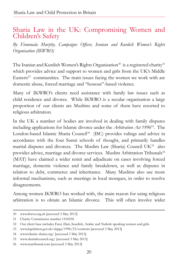### Sharia Law in the UK: Compromising Women and Children's Safety

*By Fionnuala Murphy, Campaigns Officer, Iranian and Kurdish Women's Rights Organisation (IKWRO)*

The Iranian and Kurdish Women's Rights Organisation<sup>30</sup> is a registered charity<sup>31</sup> which provides advice and support to women and girls from the UK's Middle Eastern $32$  communities. The main issues facing the women we work with are domestic abuse, forced marriage and "honour"-based violence.

Many of IKWRO's clients need assistance with family law issues such as child residence and divorce. While IKWRO is a secular organisation a large proportion of our clients are Muslims and some of them have resorted to religious arbitration.

In the UK a number of bodies are involved in dealing with family disputes including applications for Islamic divorce under the *Arbitration Act 1996*33. The London-based Islamic Sharia Council<sup>34</sup> (ISC) provides rulings and advice in accordance with the four Sunni schools of thought, and primarily handles marital disputes and divorces. The Muslim Law (Sharia) Council UK<sup>35</sup> also provides advice, marriage and divorce services. Muslim Arbitration Tribunals<sup>36</sup> (MAT) have claimed a wider remit and adjudicate on cases involving forced marriage, domestic violence and family breakdown, as well as disputes in relation to debt, commerce and inheritance. Many Muslims also use more informal mechanisms, such as meetings in local mosques, in order to resolve disagreements.

Among women IKWRO has worked with, the main reason for using religious arbitration is to obtain an Islamic divorce. This will often involve wider

<sup>30</sup> www.ikwro.org.uk [accessed 3 May 2013]

<sup>31</sup> Charity Commission number 1104550.

<sup>32</sup> Our client base includes Farsi, Dari, Kurdish, Arabic and Turkish speaking women and girls.

<sup>33</sup> www.legislation.gov.uk/ukpga/1996/23/contents [accessed 3 May 2013]

<sup>34</sup> www.islamic-sharia.org/ [accessed 3 May 2013]

<sup>35</sup> www.shariahcouncil.org/ [accessed 3 May 2013]

<sup>36</sup> www.matribunal.com [accessed 3 May 2013]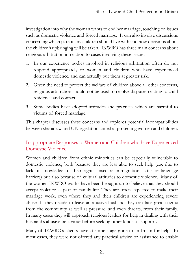investigation into why the woman wants to end her marriage, touching on issues such as domestic violence and forced marriage. It can also involve discussions concerning which parent any children should live with and how decisions about the children's upbringing will be taken. IKWRO has three main concerns about religious arbitration in relation to cases involving these issues:

- 1. In our experience bodies involved in religious arbitration often do not respond appropriately to women and children who have experienced domestic violence, and can actually put them at greater risk.
- 2. Given the need to protect the welfare of children above all other concerns, religious arbitration should not be used to resolve disputes relating to child residence and contact.
- 3. Some bodies have adopted attitudes and practices which are harmful to victims of forced marriage.

This chapter discusses these concerns and explores potential incompatibilities between sharia law and UK legislation aimed at protecting women and children.

#### Inappropriate Responses to Women and Children who have Experienced Domestic Violence

Women and children from ethnic minorities can be especially vulnerable to domestic violence, both because they are less able to seek help (e.g. due to lack of knowledge of their rights, insecure immigration status or language barriers) but also because of cultural attitudes to domestic violence. Many of the women IKWRO works have been brought up to believe that they should accept violence as part of family life. They are often expected to make their marriage work, even where they and their children are experiencing severe abuse. If they decide to leave an abusive husband they can face great stigma from the community as well as pressure, and even threats, from their family. In many cases they will approach religious leaders for help in dealing with their husband's abusive behaviour before seeking other kinds of support.

Many of IKWRO's clients have at some stage gone to an Imam for help. In most cases, they were not offered any practical advice or assistance to enable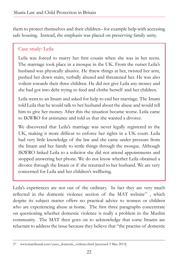them to protect themselves and their children– for example help with accessing safe housing. Instead, the emphasis was placed on preserving family unity.

#### Case study: Leila

Leila was forced to marry her first cousin when she was in her teens. The marriage took place in a mosque in the UK. From the outset Leila's husband was physically abusive. He threw things at her, twisted her arm, pushed her down stairs, verbally abused and threatened her. He was also voilent towards their three children. He did not give Leila any money and she had got into debt trying to feed and clothe herself and her children.

Leila went to an Imam and asked for help to end her marriage. The Imam told Leila that he would talk to her husband about the abuse and would tell him to give her money. After this the situation became worse. Leila came to IKWRO for assistance and told us that she wanted a divorce.

We discovered that Leila's marriage was never legally registered in the UK, making it more difficut to enforce her rights in a UK court. Leila had very little knowledge of the law and she came under pressure from the Imam and her family to settle things through the mosque. Although IKWRO linked Leila to a solicitor she did not attend appointments and stopped answering her phone. We do not know whether Leila obtained a divorce through the Imam or if she returned to her husband. We are very concerned for Leila and her children's wellbeing.

Leila's experiences are not out of the ordinary. In fact they are very much reflected in the domestic violence section of the MAT website $37$ , which despite its subject matter offers no practical advice to women or children who are experiencing abuse at home. The first three paragraphs concentrate on questioning whether domestic violence is really a problem in the Muslim community. The MAT then goes on to acknowledge that some Imams are reluctant to address the issue because they believe that "the practise of domestic

<sup>37</sup> www.matribunal.com/cases\_domestic\_violence.html [accessed 3 May 2013]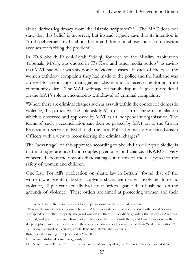abuse derives legitimacy from the Islamic scriptures"<sup>38</sup>. The MAT does not state that this belief is incorrect, but instead vaguely says that its intention is "to dispel certain myths about Islam and domestic abuse and also to discuss avenues for tackling the problem".

In 2008 Sheikh Faiz-ul-Aqtab Siddiqi, founder of the Muslim Arbitration Tribunals (MAT), was quoted in *The Times* and other media outlets<sup>39</sup> as saying that MAT had dealt with six domestic violence cases. In each of the cases the women withdrew complaints they had made to the police and the husband was ordered to attend anger management classes and to receive mentoring from community elders. The MAT webpage on family disputes $40$  gives more detail on the MAT's role in encouraging withdrawal of criminal complaints:

"Where there are criminal charges such as assault within the context of domestic violence, the parties will be able ask MAT to assist in reaching reconciliation which is observed and approved by MAT as an independent organisation. The terms of such a reconciliation can then be passed by MAT on to the Crown Prosecution Service (CPS) though the local Police Domestic Violence Liaison Officers with a view to reconsidering the criminal charges."

The "advantage" of this approach according to Sheikh Faiz-ul-Aqtab Siddiqi is that marriages are saved and couples given a second chance. IKWRO is very concerned about the obvious disadvantages in terms of the risk posed to the safety of women and children.

One Law For All's publication on sharia law in Britain<sup>41</sup> found that of the women who went to bodies applying sharia with cases involving domestic violence, 40 per cent actually had court orders against their husbands on the grounds of violence. These orders are aimed at protecting women and their

39 www..dailymail.co.uk/news/article-1055764/Islamic-sharia-courts-

Britain-legally-binding.html [accessed 3 May 2013]

<sup>38</sup> Verse 4:34 of the Koran appears to give permission for the abuse of women:

<sup>&</sup>quot;Men are the maintainers of women because Allah has made some of them to excel others and because they spend out of their property; the good women are therefore obedient, guarding the unseen as Allah has guarded; and (as to) those on whose part you fear desertion, admonish them, and leave them alone in their sleeping places and beat them; then if they obey you, do not seek a way against them (Shakir translation)."

<sup>40</sup> www.matribunal.com/cases\_faimly.html

<sup>41</sup> Sharia Law in Britain: A threat to one law for all and equal rights. Namazie, Atasheen and Waters.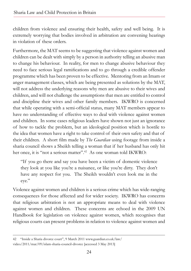children from violence and ensuring their health, safety and well being. It is extremely worrying that bodies involved in arbitration are convening hearings in violation of these orders.

Furthermore, the MAT seems to be suggesting that violence against women and children can be dealt with simply by a person in authority telling an abusive man to change his behaviour. In reality, for men to change abusive behaviour they need to face serious legal ramifications and to go through a credible offender programme which has been proven to be effective. Mentoring from an Imam or anger management classes, which are being presented as solutions by the MAT, will not address the underlying reasons why men are abusive to their wives and children, and will not challenge the assumptions that men are entitled to control and discipline their wives and other family members. IKWRO is concerned that while operating with a semi-official status, many MAT members appear to have no understanding of effective ways to deal with violence against women and children. In some cases religious leaders have shown not just an ignorance of how to tackle the problem, but an ideological position which is hostile to the idea that women have a right to take control of their own safety and that of their children. A short film made by *The Guardian* using footage from inside a sharia council shows a Sheikh telling a woman that if her husband has only hit her once, it is "not a serious matter".<sup>42</sup> As one woman told IKWRO:

"If you go there and say you have been a victim of domestic violence they look at you like you're a nuisance, or like you're dirty. They don't have any respect for you. The Sheikh wouldn't even look me in the eye."

Violence against women and children is a serious crime which has wide-ranging consequences for those affected and for wider society. IKWRO has concerns that religious arbitration is not an appropriate means to deal with violence against women and children. These concerns are echoed in the 2009 UN Handbook for legislation on violence against women, which recognises that religious courts can present problems in relation to violence against women and

<sup>42</sup> "Inside a Sharia divorce court", 9 March 2011 www.guardian.co.uk/law/

video/2011/mar/09/islam-sharia-council-divorce [accessed 3 May 2013]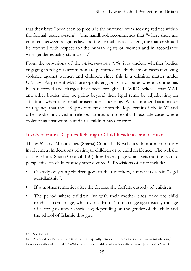that they have "been seen to preclude the survivor from seeking redress within the formal justice system". The handbook recommends that "where there are conflicts between religious law and the formal justice system, the matter should be resolved with respect for the human rights of women and in accordance with gender equality standards".<sup>43</sup>

From the provisions of the *Arbitration Act 1996* it is unclear whether bodies engaging in religious arbitration are permitted to adjudicate on cases involving violence against women and children, since this is a criminal matter under UK law. At present MAT are openly engaging in disputes where a crime has been recorded and charges have been brought. IKWRO believes that MAT and other bodies may be going beyond their legal remit by adjudicating on situations where a criminal prosecution is pending. We recommend as a matter of urgency that the UK government clarifies the legal remit of the MAT and other bodies involved in religious arbitration to explicitly exclude cases where violence against women and/ or children has occurred.

#### Involvement in Disputes Relating to Child Residence and Contact

The MAT and Muslim Law (Sharia) Council UK websites do not mention any involvement in decisions relating to children or to child residence. The website of the Islamic Sharia Council (ISC) does have a page which sets out the Islamic perspective on child custody after divorce<sup>44</sup>. Provisions of note include:

- Custody of young children goes to their mothers, but fathers retain "legal guardianship".
- If a mother remarries after the divorce she forfeits custody of children.
- The period where children live with their mother ends once the child reaches a certain age, which varies from 7 to marriage age (usually the age of 9 for girls under sharia law) depending on the gender of the child and the school of Islamic thought.

<sup>43</sup> Section 3.1.5.

<sup>44</sup> Accessed on ISC's website in 2012; subsequently removed. Alternative source: www.ummah.com/ forum/showthread.php?347035-Which-parent-should-keep-the-child-after-divorce [accessed 3 May 2013]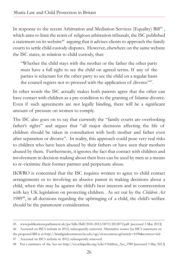In response to the recent Arbitration and Mediation Services (Equality)  $\text{Bill}^{45}$ , which aims to limit the remit of religious arbitration tribunals, the ISC published a statement on its website<sup>46</sup> arguing that it advises clients to approach the family courts to settle child custody disputes. However, elsewhere on the same website the ISC states, in relation to child custody, that:

"Whether the child stays with the mother or the father the other party must have a full right to see the child on agreed terms. If any of the parties is reluctant for the other party to see the child on a regular basis the council regrets not to proceed with the application of divorce"<sup>47</sup>.

In other words the ISC actually makes both parents agree that the other can have contact with children as a pre-condition to the granting of Islamic divorce. Even if such agreements are not legally binding, there will be a significant amount of pressure on women to comply.

The ISC also goes on to say that currently the "family courts are overlooking father's rights" and argues that "all major decisions affecting the life of children should be taken in consultation with both mother and father even after separation or divorce". In reality, this approach could pose very real risks to children who have been abused by their fathers or have seen their mothers abused by them. Furthermore, it ignores the fact that contact with children and involvement in decision-making about their lives can be used by men as a means to re-victimise their former partner and perpetuate abuse.

IKWRO is concerned that the ISC requires women to agree to child contact arrangements or to involving an abusive parent in making decisions about a child, when this may be against the child's best interests and in contravention with key UK legislation on protecting children. As set out by the *Children Act* 198948, in all decisions regarding the upbringing of a child, the child's welfare should be the paramount consideration.

<sup>45</sup> www.publications.parliament.uk/pa/bills/lbill/2010-2012/0072/2012072.pdf [accessed 3 May 2013]

<sup>46</sup> Accessed on ISC's website in 2012; subsequently removed. Alternative source for ISC's statement on the proposed Bill is at http://lawdigitalcommons.bc.edu/cgi/viewcontent.cgi?article=1696&context=iclr

<sup>47</sup> Accessed on ISC's website in 2012; subsequently removed.

<sup>48</sup> For a summary of the Act see http://en.wikipedia.org/wiki/Children\_Act\_1989 [accessed 3 May 2013]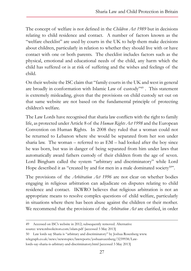The concept of welfare is not defined in the *Children Act 1989* but in decisions relating to child residence and contact. A number of factors known as the "welfare checklist" are used by courts in the UK to help them make decisions about children, particularly in relation to whether they should live with or have contact with one or both parents. The checklist includes factors such as the physical, emotional and educational needs of the child, any harm which the child has suffered or is at risk of suffering and the wishes and feelings of the child.

On their website the ISC claim that "family courts in the UK and west in general are broadly in conformation with Islamic Law of custody"<sup>49</sup>. This statement is extremely misleading, given that the provisions on child custody set out on that same website are not based on the fundamental principle of protecting children's welfare.

The Law Lords have recognised that sharia law conflicts with the right to family life, as protected under Article 8 of the *Human Rights Act 1998* and the European Convention on Human Rights. In 2008 they ruled that a woman could not be returned to Lebanon where she would be separated from her son under sharia law. The woman – referred to as EM – had looked after the boy since he was born, but was in danger of being separated from him under laws that automatically award fathers custody of their children from the age of seven. Lord Bingham called the system "arbitrary and discriminatory" while Lord Hope described it as "created by and for men in a male dominated society<sup>50</sup>".

The provisions of the *Arbitration Act 1996* are not clear on whether bodies engaging in religious arbitration can adjudicate on disputes relating to child residence and contact. IKWRO believes that religious arbitration is not an appropriate means to resolve complex questions of child welfare, particularly in situations where there has been abuse against the children or their mother. We recommend that the provisions of the *Arbitration Act* are clarified, in order

<sup>49</sup> Accessed on ISC's website in 2012; subsequently removed. Alternative source: www.mhsolicitors.com/islam.pdf [accessed 3 May 2013]

<sup>50</sup> Law lords say Sharia is "arbitrary and discriminatory" by Joshua Rosenberg www.

telegraph.co.uk/news/newstopics/lawreports/joshuarozenberg/3239938/Law-

lords-say-sharia-is-arbitrary-and-discriminatory.html [accessed 3 May 2013]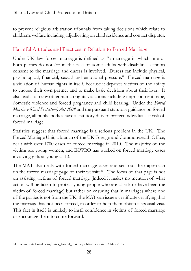to prevent religious arbitration tribunals from taking decisions which relate to children's welfare including adjudicating on child residence and contact disputes.

#### Harmful Attitudes and Practices in Relation to Forced Marriage

Under UK law forced marriage is defined as "a marriage in which one or both parties do not (or in the case of some adults with disabilities cannot) consent to the marriage and duress is involved. Duress can include physical, psychological, financial, sexual and emotional pressure." Forced marriage is a violation of human rights in itself, because it deprives victims of the ability to choose their own partner and to make basic decisions about their lives. It also leads to many other human rights violations including imprisonment, rape, domestic violence and forced pregnancy and child bearing. Under the *Forced Marriage (Civil Protection) Act 2008* and the pursuant statutory guidance on forced marriage, all public bodies have a statutory duty to protect individuals at risk of forced marriage.

Statistics suggest that forced marriage is a serious problem in the UK. The Forced Marriage Unit, a branch of the UK Foreign and Commonwealth Office, dealt with over 1700 cases of forced marriage in 2010. The majority of the victims are young women, and IKWRO has worked on forced marriage cases involving girls as young as 13.

The MAT also deals with forced marriage cases and sets out their approach on the forced marriage page of their website<sup>51</sup>. The focus of that page is not on assisting victims of forced marriage (indeed it makes no mention of what action will be taken to protect young people who are at risk or have been the victim of forced marriage) but rather on ensuring that in marriages where one of the parties is not from the UK, the MAT can issue a certificate certifying that the marriage has not been forced, in order to help them obtain a spousal visa. This fact in itself is unlikely to instil confidence in victims of forced marriage or encourage them to come forward.

<sup>51</sup> www.matribunal.com/cases\_forced\_marriages.html [accessed 3 May 2013]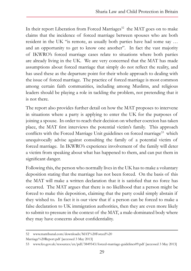In their report Liberation from Forced Marriages<sup>52</sup> the MAT goes on to make claims that the incidence of forced marriage between spouses who are both resident in the UK "is remote, as usually both parties have had some say … and an opportunity to get to know one another". In fact the vast majority of IKWRO's forced marriage cases relate to situations where both parties are already living in the UK. We are very concerned that the MAT has made assumptions about forced marriage that simply do not reflect the reality, and has used these as the departure point for their whole approach to dealing with the issue of forced marriage. The practice of forced marriage is most common among certain faith communities, including among Muslims, and religious leaders should be playing a role in tackling the problem, not pretending that it is not there.

The report also provides further detail on how the MAT proposes to intervene in situations where a party is applying to enter the UK for the purposes of joining a spouse. In order to reach their decision on whether coercion has taken place, the MAT first interviews the potential victim's family. This approach conflicts with the Forced Marriage Unit guidelines on forced marriage<sup>53</sup> which unequivocally advise against consulting the family of a potential victim of forced marriage. In IKWRO's experience involvement of the family will deter a victim from speaking about what has happened to them, and can put them in significant danger.

Following this, the person who normally lives in the UK has to make a voluntary deposition stating that the marriage has not been forced. On the basis of this the MAT will make a written declaration that it is satisfied that no force has occurred. The MAT argues that there is no likelihood that a person might be forced to make this deposition, claiming that the party could simply abstain if they wished to. In fact it is our view that if a person can be forced to make a false declaration to UK immigration authorities, then they are even more likely to submit to pressure in the context of the MAT, a male-dominated body where they may have concerns about confidentiality.

Marriage%20Report.pdf [accessed 3 May 2013]

<sup>52</sup> www.matribunal.com/downloads/MAT%20Forced%20

<sup>53</sup> www.fco.gov.uk/resources/en/pdf/3849543/forced-marriage-guidelines09.pdf [accessed 3 May 2013]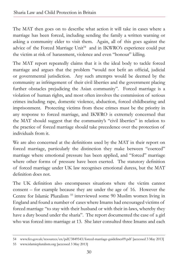The MAT then goes on to describe what action it will take in cases where a marriage has been forced, including sending the family a written warning or asking a community elder to visit them. Again, all of this goes against the advice of the Forced Marriage Unit<sup>54</sup> and in IKWRO's experience could put the victim at risk of harassment, violence and even "honour" killing.

The MAT report repeatedly claims that it is the ideal body to tackle forced marriage and argues that the problem "would not befit an official, judicial or governmental jurisdiction. Any such attempts would be deemed by the community as infringement of their civil liberties and the government placing further obstacles prejudicing the Asian community". Forced marriage is a violation of human rights, and most often involves the commission of serious crimes including rape, domestic violence, abduction, forced childbearing and imprisonment. Protecting victims from these crimes must be the priority in any response to forced marriage, and IKWRO is extremely concerned that the MAT should suggest that the community's "civil liberties" in relation to the practice of forced marriage should take precedence over the protection of individuals from it.

We are also concerned at the definitions used by the MAT in their report on forced marriage, particularly the distinction they make between "coerced" marriage where emotional pressure has been applied, and "forced" marriage where other forms of pressure have been exerted. The statutory definition of forced marriage under UK law recognises emotional duress, but the MAT definition does not.

The UK definition also encompasses situations where the victim cannot consent – for example because they are under the age of 16. However the Centre for Islamic Pluralism 55 interviewed some 90 Muslim women living in England and found a number of cases where Imams had encouraged victims of forced marriage "to stay with their husband or with their in-laws, whereby they have a duty bound under the sharia". The report documented the case of a girl who was forced into marriage at 13. She later consulted three Imams and each

<sup>54</sup> www.fco.gov.uk/resources/en/pdf/3849543/forced-marriage-guidelines09.pdf [accessed 3 May 2013]

<sup>55</sup> www.islamicpluralism.org [accessed 3 May 2013]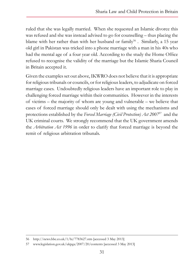ruled that she was legally married. When she requested an Islamic divorce this was refused and she was instead advised to go for counselling – thus placing the blame with her rather than with her husband or family<sup>56</sup>. Similarly, a 15 year old girl in Pakistan was tricked into a phone marriage with a man in his 40s who had the mental age of a four year old. According to the study the Home Office refused to recognise the validity of the marriage but the Islamic Sharia Council in Britain accepted it.

Given the examples set out above, IKWRO does not believe that it is appropriate for religious tribunals or councils, or for religious leaders, to adjudicate on forced marriage cases. Undoubtedly religious leaders have an important role to play in challenging forced marriage within their communities. However in the interests of victims – the majority of whom are young and vulnerable – we believe that cases of forced marriage should only be dealt with using the mechanisms and protections established by the *Forced Marriage (Civil Protection) Act 2007*57 and the UK criminal courts. We strongly recommend that the UK government amends the *Arbitration Act 1996* in order to clarify that forced marriage is beyond the remit of religious arbitration tribunals.

<sup>56</sup> http://news.bbc.co.uk/1/hi/7783627.stm [accessed 3 May 2013]

<sup>57</sup> www.legislation.gov.uk/ukpga/2007/20/contents [accessed 3 May 2013]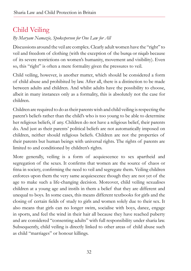# Child Veiling

#### *By Maryam Namazie, Spokesperson for One Law for All*

Discussions around the veil are complex. Clearly adult women have the "right" to veil and freedom of clothing (with the exception of the burqa or niqab because of its severe restrictions on women's humanity, movement and visibility). Even so, this "right" is often a mere formality given the pressures to veil.

Child veiling, however, is another matter, which should be considered a form of child abuse and prohibited by law. After all, there is a distinction to be made between adults and children. And whilst adults have the possibility to choose, albeit in many instances only as a formality, this is absolutely not the case for children.

Children are required to do as their parents wish and child veiling is respecting the parent's beliefs rather than the child's who is too young to be able to determine her religious beliefs, if any. Children do not have a religious belief, their parents do. And just as their parents' political beliefs are not automatically imposed on children, neither should religious beliefs. Children are not the properties of their parents but human beings with universal rights. The rights of parents are limited to and conditioned by children's rights.

More generally, veiling is a form of acquiescence to sex apartheid and segregation of the sexes. It confirms that women are the source of chaos or fitna in society, confirming the need to veil and segregate them. Veiling children enforces upon them the very same acquiescence though they are not yet of the age to make such a life-changing decision. Moreover, child veiling sexualises children at a young age and instils in them a belief that they are different and unequal to boys. In some cases, this means different textbooks for girls and the closing of certain fields of study to girls and women solely due to their sex. It also means that girls can no longer swim, socialise with boys, dance, engage in sports, and feel the wind in their hair all because they have reached puberty and are considered "consenting adults" with full responsibility under sharia law. Subsequently, child veiling is directly linked to other areas of child abuse such as child "marriages" or honour killings.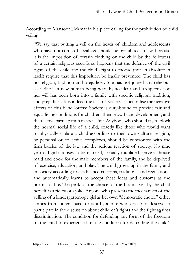According to Mansoor Hekmat in his piece calling for the prohibition of child veiling<sup>58</sup>:

"We say that putting a veil on the heads of children and adolescents who have not come of legal age should be prohibited in law, because it is the imposition of certain clothing on the child by the followers of a certain religious sect. It so happens that the defence of the civil rights of the child and the child's right to choose (not an absolute in itself) require that this imposition be legally prevented. The child has no religion, tradition and prejudices. She has not joined any religious sect. She is a new human being who, by accident and irrespective of her will has been born into a family with specific religion, tradition, and prejudices. It is indeed the task of society to neutralise the negative effects of this blind lottery. Society is duty-bound to provide fair and equal living conditions for children, their growth and development, and their active participation in social life. Anybody who should try to block the normal social life of a child, exactly like those who would want to physically violate a child according to their own culture, religion, or personal or collective complexes, should be confronted with the firm barrier of the law and the serious reaction of society. No nine year old girl chooses to be married, sexually mutilated, serve as house maid and cook for the male members of the family, and be deprived of exercise, education, and play. The child grows up in the family and in society according to established customs, traditions, and regulations, and automatically learns to accept these ideas and customs as the norms of life. To speak of the choice of the Islamic veil by the child herself is a ridiculous joke. Anyone who presents the mechanism of the veiling of a kindergarten-age girl as her own "democratic choice" either comes from outer space, or is a hypocrite who does not deserve to participate in the discussion about children's rights and the fight against discrimination. The condition for defending any form of the freedom of the child to experience life, the condition for defending the child's

<sup>58</sup> http://hekmat.public-archive.net/en/1035en.html [accessed 3 May 2013]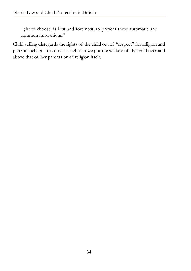right to choose, is first and foremost, to prevent these automatic and common impositions."

Child veiling disregards the rights of the child out of "respect" for religion and parents' beliefs. It is time though that we put the welfare of the child over and above that of her parents or of religion itself.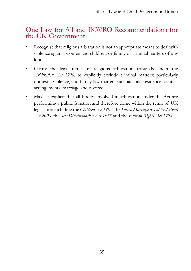## One Law for All and IKWRO Recommendations for the UK Government

- Recognise that religious arbitration is not an appropriate means to deal with violence against women and children, or family or criminal matters of any kind.
- Clarify the legal remit of religious arbitration tribunals under the *Arbitration Act 1996*, to explicitly exclude criminal matters; particularly domestic violence, and family law matters such as child residence, contact arrangements, marriage and divorce.
- Make it explicit that all bodies involved in arbitration under the Act are performing a public function and therefore come within the remit of UK legislation including the *Children Act 1989*, the *Forced Marriage (Civil Protection) Act 2008*, the *Sex Discrimination Act 1975* and the *Human Rights Act 1998*.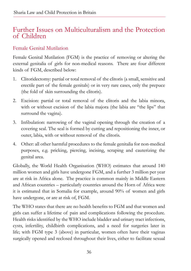## Further Issues on Multiculturalism and the Protection of Children

#### Female Genital Mutilation

Female Genital Mutilation (FGM) is the practice of removing or altering the external genitalia of girls for non-medical reasons. There are four different kinds of FGM, described below:

- 1. Clitoridectomy: partial or total removal of the clitoris (a small, sensitive and erectile part of the female genitals) or in very rare cases, only the prepuce (the fold of skin surrounding the clitoris).
- 2. Excision: partial or total removal of the clitoris and the labia minora, with or without excision of the labia majora (the labia are "the lips" that surround the vagina).
- 3. Infibulation: narrowing of the vaginal opening through the creation of a covering seal. The seal is formed by cutting and repositioning the inner, or outer, labia, with or without removal of the clitoris.
- 4. Other: all other harmful procedures to the female genitalia for non-medical purposes, e.g. pricking, piercing, incising, scraping and cauterizing the genital area.

Globally, the World Health Organisation (WHO) estimates that around 140 million women and girls have undergone FGM, and a further 3 million per year are at risk in Africa alone. The practice is common mainly in Middle Eastern and African countries – particularly countries around the Horn of Africa were it is estimated that in Somalia for example, around 90% of women and girls have undergone, or are at risk of, FGM.

The WHO states that there are no health benefits to FGM and that women and girls can suffer a lifetime of pain and complications following the procedure. Health risks identified by the WHO include bladder and urinary tract infections, cysts, infertility, childbirth complications, and a need for surgeries later in life; with FGM type 3 (above) in particular, women often have their vaginas surgically opened and reclosed throughout their lives, either to facilitate sexual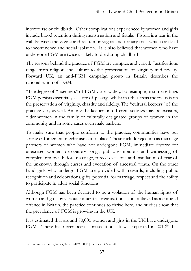intercourse or childbirth. Other complications experienced by women and girls include blood retention during menstruation and fistula. Fistula is a tear in the wall between the vagina and rectum or vagina and urinary tract which can lead to incontinence and social isolation. It is also believed that women who have undergone FGM are twice as likely to die during childbirth.

The reasons behind the practice of FGM are complex and varied. Justifications range from religion and culture to the preservation of virginity and fidelity. Forward UK, an anti-FGM campaign group in Britain describes the rationalisation of FGM:

"The degree of "fixedness" of FGM varies widely. For example, in some settings FGM persists essentially as a rite of passage whilst in other areas the focus is on the preservation of virginity, chastity and fidelity. The "cultural keepers" of the practice vary as well. Among the keepers in different settings may be excisors, older women in the family or culturally designated groups of women in the community and in some cases even male barbers.

To make sure that people conform to the practice, communities have put strong enforcement mechanisms into place. These include rejection as marriage partners of women who have not undergone FGM, immediate divorce for unexcised women, derogatory songs, public exhibitions and witnessing of complete removal before marriage, forced excisions and instillation of fear of the unknown through curses and evocation of ancestral wrath. On the other hand girls who undergo FGM are provided with rewards, including public recognition and celebrations, gifts, potential for marriage, respect and the ability to participate in adult social functions.

Although FGM has been declared to be a violation of the human rights of women and girls by various influential organisations, and outlawed as a criminal offence in Britain, the practice continues to thrive here, and studies show that the prevalence of FGM is growing in the UK.

It is estimated that around 70,000 women and girls in the UK have undergone FGM. There has never been a prosecution. It was reported in 2012<sup>59</sup> that

<sup>59</sup> www.bbc.co.uk/news/health-18900803 [accessed 3 May 2013]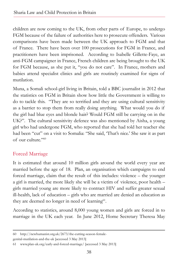children are now coming to the UK, from other parts of Europe, to undergo FGM because of the failure of authorities here to prosecute offenders. Various comparisons have been made between the UK approach to FGM and that of France. There have been over 100 prosecutions for FGM in France, and practitioners have been imprisoned. According to Isabelle Gillette-Faye, an anti-FGM campaigner in France, French children are being brought to the UK for FGM because, as she put it, "you do not care". In France, mothers and babies attend specialist clinics and girls are routinely examined for signs of mutilation.

Muna, a Somali school-girl living in Britain, told a BBC journalist in 2012 that the statistics on FGM in Britain show how little the Government is willing to do to tackle this. "They are so terrified and they are using cultural sensitivity as a barrier to stop them from really doing anything. What would you do if the girl had blue eyes and blonde hair? Would FGM still be carrying on in the UK?". The cultural sensitivity defence was also mentioned by Aisha, a young girl who had undergone FGM, who reported that she had told her teacher she had been "cut" on a visit to Somalia: "She said, 'That's nice.' She saw it as part of our culture."<sup>60</sup>

#### Forced Marriage

It is estimated that around 10 million girls around the world every year are married before the age of 18. Plan, an organisation which campaigns to end forced marriage, claim that the result of this includes: violence – the younger a girl is married, the more likely she will be a victim of violence, poor health – girls married young are more likely to contract HIV and suffer greater sexual ill-health, lack of education – girls who are married are denied an education as they are deemed no longer in need of learning<sup>61</sup>.

According to statistics, around 8,000 young women and girls are forced in to marriage in the UK each year. In June 2012, Home Secretary Theresa May

genital-mutilation-and-the-uk [accessed 3 May 2013]

<sup>60</sup> http://newhumanist.org.uk/2673/the-cutting-season-female-

<sup>61</sup> www.plan-uk.org/early-and-forced-marriage/ [accessed 3 May 2013]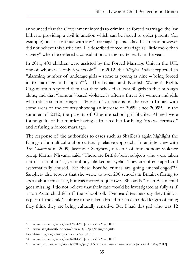announced that the Government intends to criminalise forced marriage; the law hitherto providing a civil injunction which can be issued to order parents (for example) not to continue with any "marriage" plans. David Cameron however did not believe this sufficient. He described forced marriage as "little more than slavery" when he ordered a consultation on the matter early in the year.

In 2011, 400 children were assisted by the Forced Marriage Unit in the UK, one of whom was only 5 years old<sup>62</sup>. In 2012, the *Islington Tribune* reported an "alarming number of underage girls – some as young as nine – being forced in to marriage in Islington"63. The Iranian and Kurdish Women's Rights Organisation reported then that they believed at least 30 girls in that borough alone, and that "honour"-based violence is often a threat for women and girls who refuse such marriages. "Honour" violence is on the rise in Britain with some areas of the country showing an increase of 305% since 200964. In the summer of 2012, the parents of Cheshire school-girl Shafilea Ahmed were found guilty of her murder having suffocated her for being "too westernised" and refusing a forced marriage.

The response of the authorities to cases such as Shafilea's again highlight the failings of a multicultural or culturally relative approach. In an interview with *The Guardian* in 2009, Jasvinder Sanghera, director of anti honour violence group Karma Nirvana, said: "These are British-born subjects who were taken out of school at 15, yet nobody blinked an eyelid. They are often raped and systematically abused. Yet these horrific crimes are going unchallenged"<sup>65</sup>. Sanghera also reports that she wrote to over 200 schools in Britain offering to speak about this issue, but was invited to just two. She adds "If an Asian child goes missing, I do not believe that their case would be investigated as fully as if a non-Asian child fell off the school roll. I've heard teachers say they think it is part of the child's culture to be taken abroad for an extended length of time; they think they are being culturally sensitive. But I had this girl who was 12

<sup>62</sup> www.bbc.co.uk/news/uk-17534262 [accessed 3 May 2013]

<sup>63</sup> www.islingtontribune.com/news/2012/jan/islington-girlsforced-marriage-age-nine [accessed 3 May 2013]

<sup>64</sup> www.bbc.co.uk/news/uk-16014368 [accessed 3 May 2013]

<sup>65</sup> www.guardian.co.uk/society/2009/jan/14/crime-victims-karma-nirvana [accessed 3 May 2013]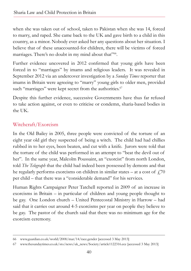when she was taken out of school, taken to Pakistan when she was 14, forced to marry, and raped. She came back to the UK and gave birth to a child in this country, as a minor. Nobody ever asked her any questions about her situation. I believe that of these unaccounted-for children, there will be victims of forced marriages. There's no doubt in my mind about that"<sup>66</sup>.

Further evidence uncovered in 2012 confirmed that young girls have been forced in to "marriages" by imams and religious leaders. It was revealed in September 2012 via an undercover investigation by a *Sunday Times* reporter that imams in Britain were agreeing to "marry" young girls to older men, provided such "marriages" were kept secret from the authorities.<sup>67</sup>

Despite this further evidence, successive Governments have thus far refused to take action against, or even to criticise or condemn, sharia-based bodies in the UK.

#### Witchcraft/Exorcism

In the Old Bailey in 2005, three people were convicted of the torture of an eight year old girl they suspected of being a witch. The child had had chillies rubbed in to her eyes, been beaten, and cut with a knife. Jurors were told that the torture of the child was performed in an attempt to "beat the devil out of her". In the same year, Malcolm Poussaint, an "exorcist" from north London, told *The Telegraph* that the child had indeed been possessed by demons and that he regularly performs exorcisms on children in similar states – at a cost of  $\ddot{f}$  (70) per child – that there was a "considerable demand" for his services.

Human Rights Campaigner Peter Tatchell reported in 2009 of an increase in exorcisms in Britain – in particular of children and young people thought to be gay. One London church – United Pentecostal Ministry in Harrow – had said that it carries out around 4-5 exorcisms per year on people they believe to be gay. The pastor of the church said that there was no minimum age for the exorcism ceremony.

<sup>66</sup> www.guardian.co.uk/world/2008/mar/14/race.gender [accessed 3 May 2013]

<sup>67</sup> www.thesundaytimes.co.uk/sto/news/uk\_news/Society/article1122316.ece [accessed 3 May 2013]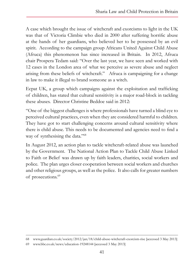A case which brought the issue of witchcraft and exorcisms to light in the UK was that of Victoria Climbie who died in 2000 after suffering horrific abuse at the hands of her guardians, who believed her to be possessed by an evil spirit. According to the campaign group Africans United Against Child Abuse (Afruca) this phenomenon has since increased in Britain. In 2012, Afruca chair Prospera Tedam said: "Over the last year, we have seen and worked with 12 cases in the London area of what we perceive as severe abuse and neglect arising from these beliefs of witchcraft." Afruca is campaigning for a change in law to make it illegal to brand someone as a witch.

Ecpat UK, a group which campaigns against the exploitation and trafficking of children, has stated that cultural sensitivity is a major road-block in tackling these abuses. Director Christine Beddoe said in 2012:

"One of the biggest challenges is where professionals have turned a blind eye to perceived cultural practices, even when they are considered harmful to children. They have got to start challenging concerns around cultural sensitivity where there is child abuse. This needs to be documented and agencies need to find a way of synthesising the data."<sup>68</sup>

In August 2012, an action plan to tackle witchcraft-related abuse was launched by the Government. The National Action Plan to Tackle Child Abuse Linked to Faith or Belief was drawn up by faith leaders, charities, social workers and police. The plan urges closer cooperation between social workers and churches and other religious groups, as well as the police. It also calls for greater numbers of prosecutions.<sup>69</sup>

<sup>68</sup> www.guardian.co.uk/society/2012/jan/18/child-abuse-witchcraft-exorcism-rise [accessed 3 May 2013]

<sup>69</sup> www.bbc.co.uk/news/education-19248144 [accessed 3 May 2013]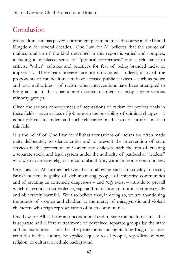# Conclusion

Multiculturalism has played a prominent part in political discourse in the United Kingdom for several decades. One Law for All believes that the source of multiculturalism of the kind described in this report is varied and complex; including a misplaced sense of "political correctness" and a reluctance to criticise "other" cultures and practices for fear of being branded racist or imperialist. These fears however are not unfounded. Indeed, many of the proponents of multiculturalism have accused public services – such as police and local authorities – of racism when interventions have been attempted to bring an end to the separate and distinct treatment of people from various minority groups.

Given the serious consequences of accusations of racism for professionals in these fields – such as loss of job or even the possibility of criminal charges – it is not difficult to understand such reluctance on the part of professionals in this field.

It is the belief of One Law for All that accusations of racism are often made quite deliberately to silence critics and to prevent the intervention of state services in the protection of women and children, with the aim of creating a separate social and legal system under the authority of patriarchal "leaders" who wish to impose religious or cultural authority within minority communities.

One Law for All further believes that in allowing such an actuality to occur, British society is guilty of dehumanising people of minority communities and of creating an extremely dangerous – and *truly* racist – attitude to prevail which determines that violence, rape and mutilation are not in fact universally and objectively harmful. We also believe that, in doing so, we are abandoning thousands of women and children to the mercy of misogynistic and violent characters who feign representation of such communities.

One Law for All calls for an unconditional end to state multiculturalism – that is separate and different treatment of perceived separate groups by the state and its institutions – and that the protections and rights long fought for over centuries in this country be applied equally to all people, regardless of race, religion, or cultural or ethnic background.